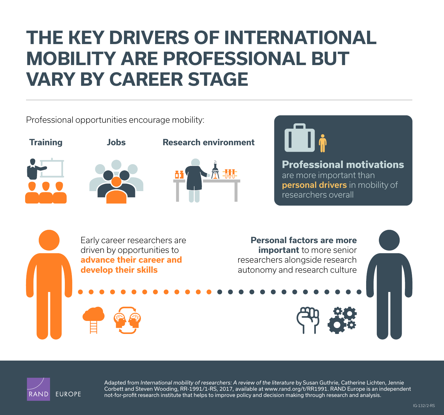# **[THE KEY DRIVERS OF INTERNATIONAL](http://www.rand.org/pubs/infographics/IG132z2.html)  MOBILITY ARE PROFESSIONAL BUT VARY BY CAREER STAGE**

Professional opportunities encourage mobility:









**Professional motivations** 

are more important than personal drivers in mobility of researchers overall





Adapted from *International mobility of researchers: A review of the literature* by Susan Guthrie, Catherine Lichten, Jennie Corbett and Steven Wooding, RR-1991/1-RS, 2017, available at [www.rand.org/t/RR1991](http://www.rand.org/t/RR1991). RAND Europe is an independent not-for-profit research institute that helps to improve policy and decision making through research and analysis.